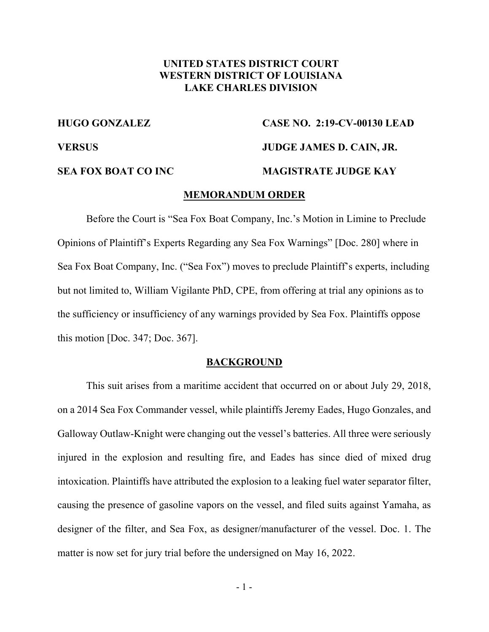## **UNITED STATES DISTRICT COURT WESTERN DISTRICT OF LOUISIANA LAKE CHARLES DIVISION**

# **HUGO GONZALEZ CASE NO. 2:19-CV-00130 LEAD VERSUS JUDGE JAMES D. CAIN, JR. SEA FOX BOAT CO INC MAGISTRATE JUDGE KAY**

#### **MEMORANDUM ORDER**

Before the Court is "Sea Fox Boat Company, Inc.'s Motion in Limine to Preclude Opinions of Plaintiff's Experts Regarding any Sea Fox Warnings" [Doc. 280] where in Sea Fox Boat Company, Inc. ("Sea Fox") moves to preclude Plaintiff's experts, including but not limited to, William Vigilante PhD, CPE, from offering at trial any opinions as to the sufficiency or insufficiency of any warnings provided by Sea Fox. Plaintiffs oppose this motion [Doc. 347; Doc. 367].

#### **BACKGROUND**

This suit arises from a maritime accident that occurred on or about July 29, 2018, on a 2014 Sea Fox Commander vessel, while plaintiffs Jeremy Eades, Hugo Gonzales, and Galloway Outlaw-Knight were changing out the vessel's batteries. All three were seriously injured in the explosion and resulting fire, and Eades has since died of mixed drug intoxication. Plaintiffs have attributed the explosion to a leaking fuel water separator filter, causing the presence of gasoline vapors on the vessel, and filed suits against Yamaha, as designer of the filter, and Sea Fox, as designer/manufacturer of the vessel. Doc. 1. The matter is now set for jury trial before the undersigned on May 16, 2022.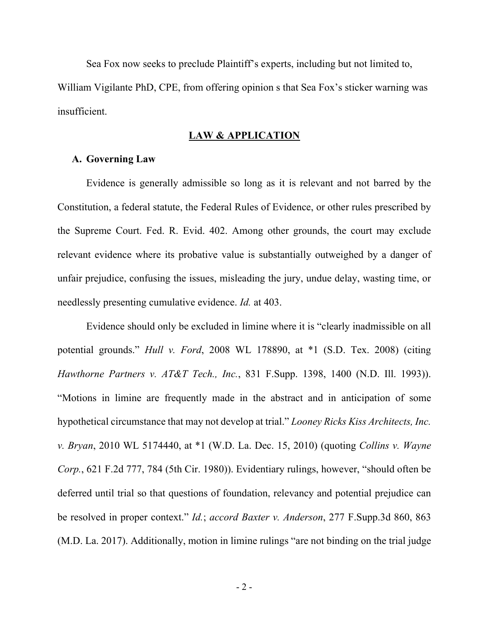Sea Fox now seeks to preclude Plaintiff's experts, including but not limited to, William Vigilante PhD, CPE, from offering opinion s that Sea Fox's sticker warning was insufficient.

#### **LAW & APPLICATION**

### **A. Governing Law**

Evidence is generally admissible so long as it is relevant and not barred by the Constitution, a federal statute, the Federal Rules of Evidence, or other rules prescribed by the Supreme Court. Fed. R. Evid. 402. Among other grounds, the court may exclude relevant evidence where its probative value is substantially outweighed by a danger of unfair prejudice, confusing the issues, misleading the jury, undue delay, wasting time, or needlessly presenting cumulative evidence. *Id.* at 403.

Evidence should only be excluded in limine where it is "clearly inadmissible on all potential grounds." *Hull v. Ford*, 2008 WL 178890, at \*1 (S.D. Tex. 2008) (citing *Hawthorne Partners v. AT&T Tech., Inc.*, 831 F.Supp. 1398, 1400 (N.D. Ill. 1993)). "Motions in limine are frequently made in the abstract and in anticipation of some hypothetical circumstance that may not develop at trial." *Looney Ricks Kiss Architects, Inc. v. Bryan*, 2010 WL 5174440, at \*1 (W.D. La. Dec. 15, 2010) (quoting *Collins v. Wayne Corp.*, 621 F.2d 777, 784 (5th Cir. 1980)). Evidentiary rulings, however, "should often be deferred until trial so that questions of foundation, relevancy and potential prejudice can be resolved in proper context." *Id.*; *accord Baxter v. Anderson*, 277 F.Supp.3d 860, 863 (M.D. La. 2017). Additionally, motion in limine rulings "are not binding on the trial judge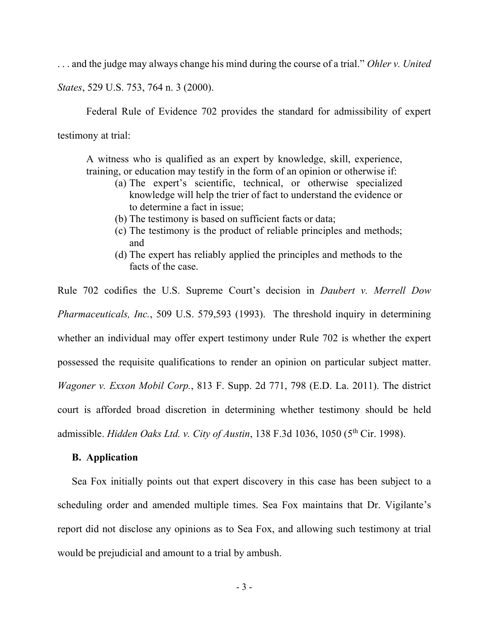. . . and the judge may always change his mind during the course of a trial." *Ohler v. United*

*States*, 529 U.S. 753, 764 n. 3 (2000).

Federal Rule of Evidence 702 provides the standard for admissibility of expert

testimony at trial:

A witness who is qualified as an expert by knowledge, skill, experience, training, or education may testify in the form of an opinion or otherwise if:

- (a) The expert's scientific, technical, or otherwise specialized knowledge will help the trier of fact to understand the evidence or to determine a fact in issue;
- (b) The testimony is based on sufficient facts or data;
- (c) The testimony is the product of reliable principles and methods; and
- (d) The expert has reliably applied the principles and methods to the facts of the case.

Rule 702 codifies the U.S. Supreme Court's decision in *Daubert v. Merrell Dow Pharmaceuticals, Inc.*, 509 U.S. 579,593 (1993). The threshold inquiry in determining whether an individual may offer expert testimony under Rule 702 is whether the expert possessed the requisite qualifications to render an opinion on particular subject matter. *Wagoner v. Exxon Mobil Corp.*, 813 F. Supp. 2d 771, 798 (E.D. La. 2011). The district court is afforded broad discretion in determining whether testimony should be held admissible. *Hidden Oaks Ltd. v. City of Austin*, 138 F.3d 1036, 1050 (5th Cir. 1998).

### **B. Application**

Sea Fox initially points out that expert discovery in this case has been subject to a scheduling order and amended multiple times. Sea Fox maintains that Dr. Vigilante's report did not disclose any opinions as to Sea Fox, and allowing such testimony at trial would be prejudicial and amount to a trial by ambush.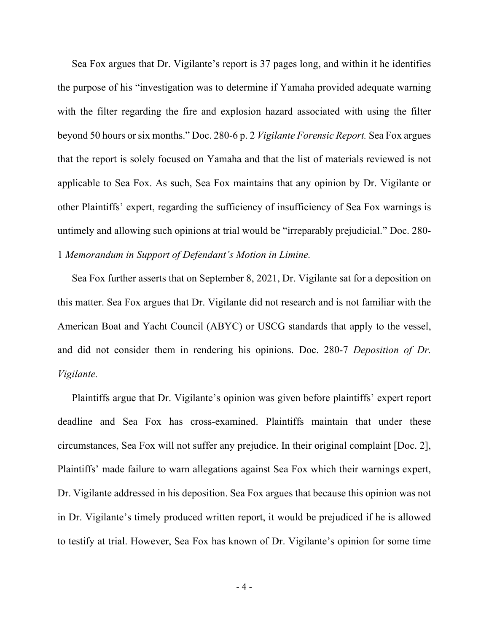Sea Fox argues that Dr. Vigilante's report is 37 pages long, and within it he identifies the purpose of his "investigation was to determine if Yamaha provided adequate warning with the filter regarding the fire and explosion hazard associated with using the filter beyond 50 hours or six months." Doc. 280-6 p. 2 *Vigilante Forensic Report.* Sea Fox argues that the report is solely focused on Yamaha and that the list of materials reviewed is not applicable to Sea Fox. As such, Sea Fox maintains that any opinion by Dr. Vigilante or other Plaintiffs' expert, regarding the sufficiency of insufficiency of Sea Fox warnings is untimely and allowing such opinions at trial would be "irreparably prejudicial." Doc. 280- 1 *Memorandum in Support of Defendant's Motion in Limine.* 

Sea Fox further asserts that on September 8, 2021, Dr. Vigilante sat for a deposition on this matter. Sea Fox argues that Dr. Vigilante did not research and is not familiar with the American Boat and Yacht Council (ABYC) or USCG standards that apply to the vessel, and did not consider them in rendering his opinions. Doc. 280-7 *Deposition of Dr. Vigilante.* 

Plaintiffs argue that Dr. Vigilante's opinion was given before plaintiffs' expert report deadline and Sea Fox has cross-examined. Plaintiffs maintain that under these circumstances, Sea Fox will not suffer any prejudice. In their original complaint [Doc. 2], Plaintiffs' made failure to warn allegations against Sea Fox which their warnings expert, Dr. Vigilante addressed in his deposition. Sea Fox argues that because this opinion was not in Dr. Vigilante's timely produced written report, it would be prejudiced if he is allowed to testify at trial. However, Sea Fox has known of Dr. Vigilante's opinion for some time